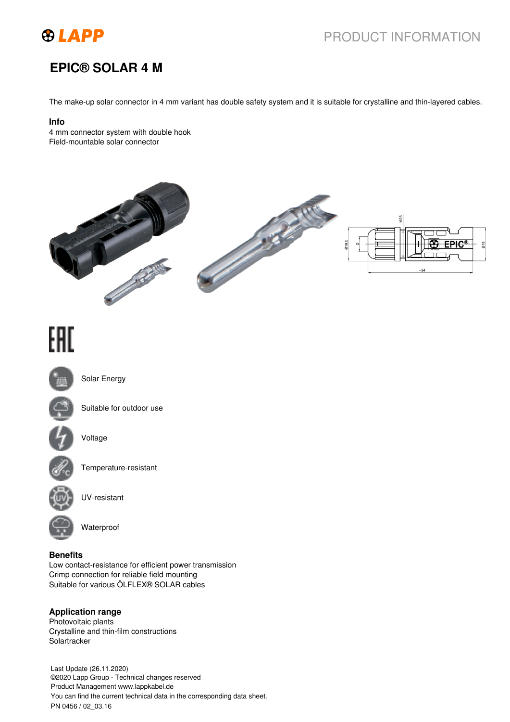

## PRODUCT INFORMATION

## **EPIC® SOLAR 4 M**

The make-up solar connector in 4 mm variant has double safety system and it is suitable for crystalline and thin-layered cables.

#### **Info**

4 mm connector system with double hook Field-mountable solar connector



# EAC



Solar Energy



Suitable for outdoor use



Voltage



Temperature-resistant



UV-resistant



Waterproof

#### **Benefits**

Low contact-resistance for efficient power transmission Crimp connection for reliable field mounting Suitable for various ÖLFLEX® SOLAR cables

## **Application range**

Photovoltaic plants Crystalline and thin-film constructions **Solartracker** 

Last Update (26.11.2020) ©2020 Lapp Group - Technical changes reserved Product Management www.lappkabel.de You can find the current technical data in the corresponding data sheet. PN 0456 / 02\_03.16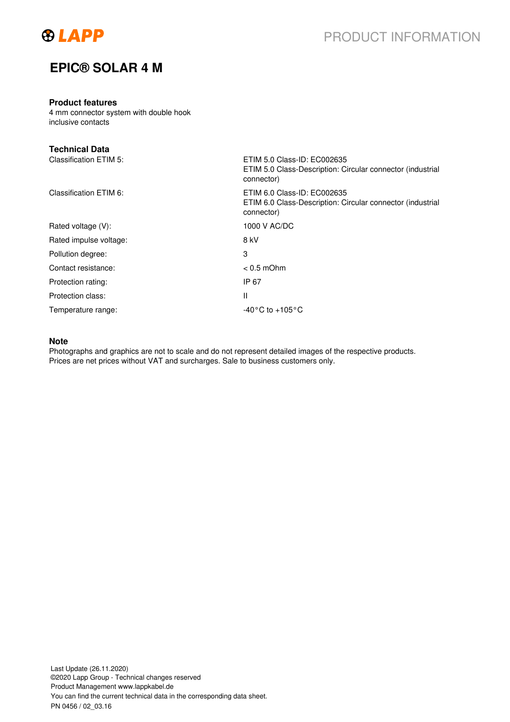

## **EPIC® SOLAR 4 M**

## **Product features**

4 mm connector system with double hook inclusive contacts

| <b>Technical Data</b>  |                                                                                                         |
|------------------------|---------------------------------------------------------------------------------------------------------|
| Classification ETIM 5: | ETIM 5.0 Class-ID: EC002635<br>ETIM 5.0 Class-Description: Circular connector (industrial<br>connector) |
| Classification ETIM 6: | ETIM 6.0 Class-ID: EC002635<br>ETIM 6.0 Class-Description: Circular connector (industrial<br>connector) |
| Rated voltage (V):     | 1000 V AC/DC                                                                                            |
| Rated impulse voltage: | 8 kV                                                                                                    |
| Pollution degree:      | 3                                                                                                       |
| Contact resistance:    | $< 0.5$ mOhm                                                                                            |
| Protection rating:     | IP 67                                                                                                   |
| Protection class:      | Ш                                                                                                       |
| Temperature range:     | $-40\degree$ C to $+105\degree$ C                                                                       |

## **Note**

Photographs and graphics are not to scale and do not represent detailed images of the respective products. Prices are net prices without VAT and surcharges. Sale to business customers only.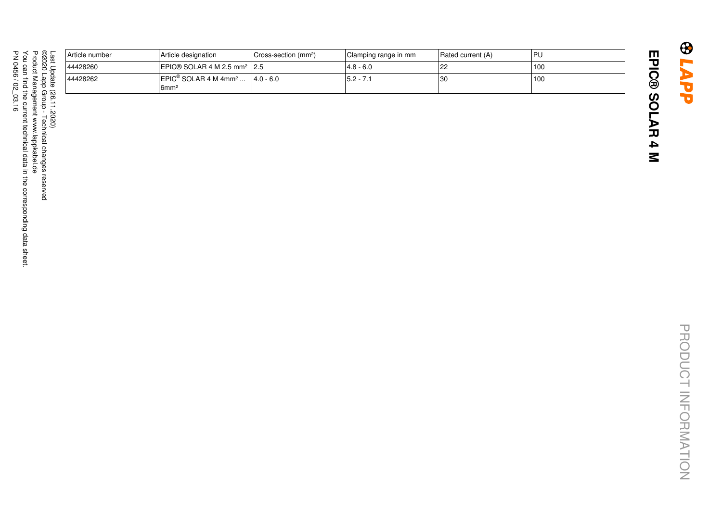| äst<br>C<br>pdate | Article number | Article designation                                                             | Cross-section (mm <sup>2</sup> ) | Clamping range in mm | Rated current (A) | <b>IPU</b> |
|-------------------|----------------|---------------------------------------------------------------------------------|----------------------------------|----------------------|-------------------|------------|
|                   | 44428260       | $ EPIC@SOLAR 4 M 2.5 mm2  2.5$                                                  |                                  | 4.8 - 6.0            | 22                | 100        |
|                   | 44428262       | $ EPIC^{\circledast}$ SOLAR 4 M 4mm <sup>2</sup>  4.0 - 6.0<br>6mm <sup>2</sup> |                                  | $15.2 - 7.1$         | 30                | 100        |
| 66<br>2020        |                |                                                                                 |                                  |                      |                   |            |
|                   |                |                                                                                 |                                  |                      |                   |            |

**EPIC® SOLAR 4 M**

EPIC® SOLAR 4 M

**GLAPP**